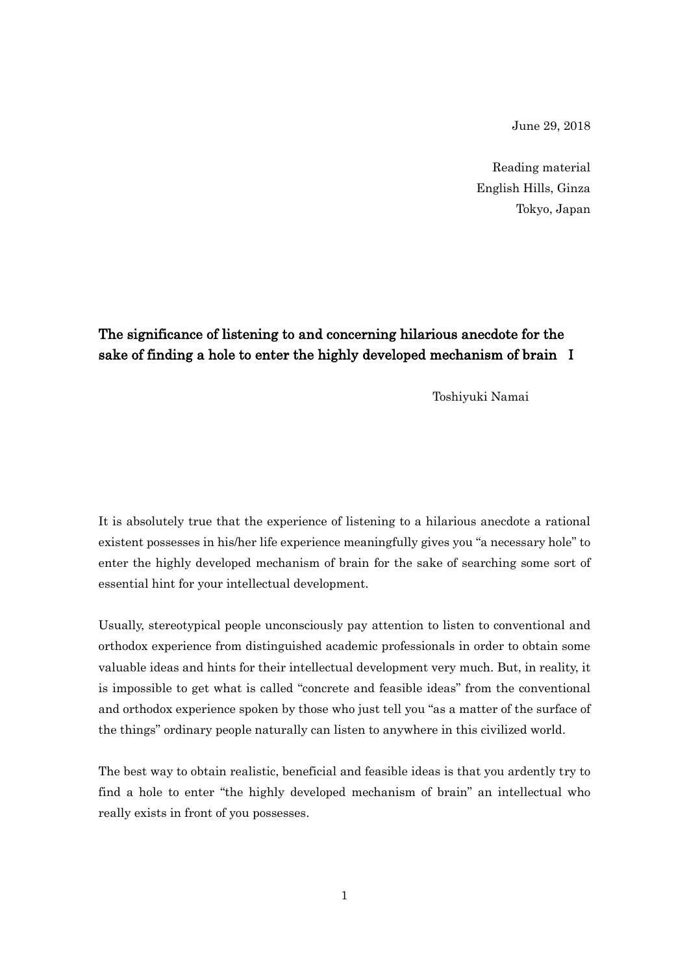June 29, 2018

Reading material English Hills, Ginza Tokyo, Japan

## The significance of listening to and concerning hilarious anecdote for the sake of finding a hole to enter the highly developed mechanism of brain I

Toshiyuki Namai

It is absolutely true that the experience of listening to a hilarious anecdote a rational existent possesses in his/her life experience meaningfully gives you "a necessary hole" to enter the highly developed mechanism of brain for the sake of searching some sort of essential hint for your intellectual development.

Usually, stereotypical people unconsciously pay attention to listen to conventional and orthodox experience from distinguished academic professionals in order to obtain some valuable ideas and hints for their intellectual development very much. But, in reality, it is impossible to get what is called "concrete and feasible ideas" from the conventional and orthodox experience spoken by those who just tell you "as a matter of the surface of the things" ordinary people naturally can listen to anywhere in this civilized world.

The best way to obtain realistic, beneficial and feasible ideas is that you ardently try to find a hole to enter "the highly developed mechanism of brain" an intellectual who really exists in front of you possesses.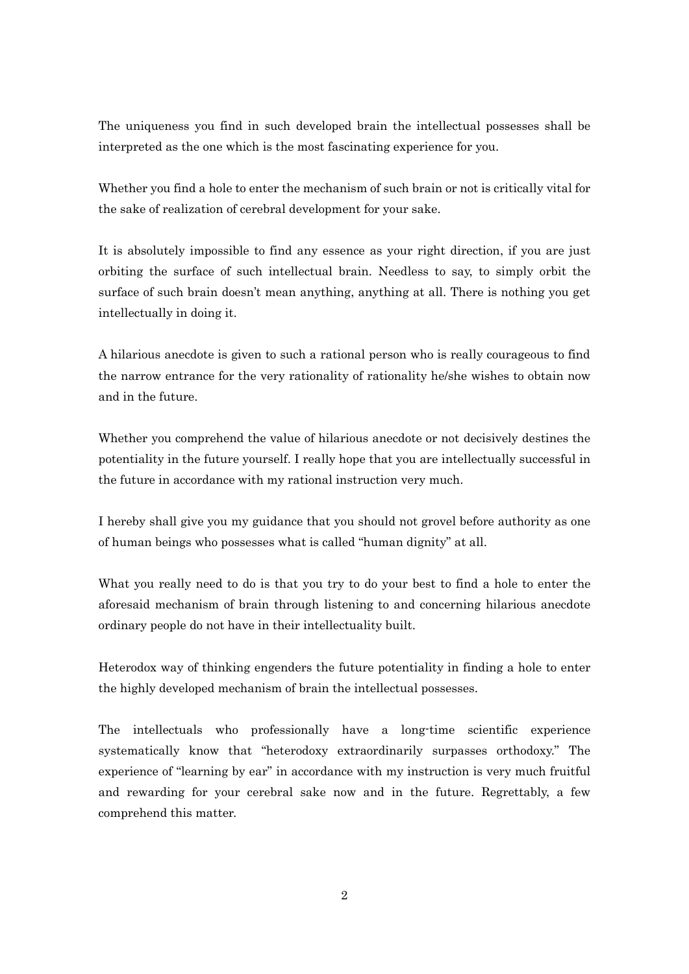The uniqueness you find in such developed brain the intellectual possesses shall be interpreted as the one which is the most fascinating experience for you.

Whether you find a hole to enter the mechanism of such brain or not is critically vital for the sake of realization of cerebral development for your sake.

It is absolutely impossible to find any essence as your right direction, if you are just orbiting the surface of such intellectual brain. Needless to say, to simply orbit the surface of such brain doesn't mean anything, anything at all. There is nothing you get intellectually in doing it.

A hilarious anecdote is given to such a rational person who is really courageous to find the narrow entrance for the very rationality of rationality he/she wishes to obtain now and in the future.

Whether you comprehend the value of hilarious anecdote or not decisively destines the potentiality in the future yourself. I really hope that you are intellectually successful in the future in accordance with my rational instruction very much.

I hereby shall give you my guidance that you should not grovel before authority as one of human beings who possesses what is called "human dignity" at all.

What you really need to do is that you try to do your best to find a hole to enter the aforesaid mechanism of brain through listening to and concerning hilarious anecdote ordinary people do not have in their intellectuality built.

Heterodox way of thinking engenders the future potentiality in finding a hole to enter the highly developed mechanism of brain the intellectual possesses.

The intellectuals who professionally have a long-time scientific experience systematically know that "heterodoxy extraordinarily surpasses orthodoxy." The experience of "learning by ear" in accordance with my instruction is very much fruitful and rewarding for your cerebral sake now and in the future. Regrettably, a few comprehend this matter.